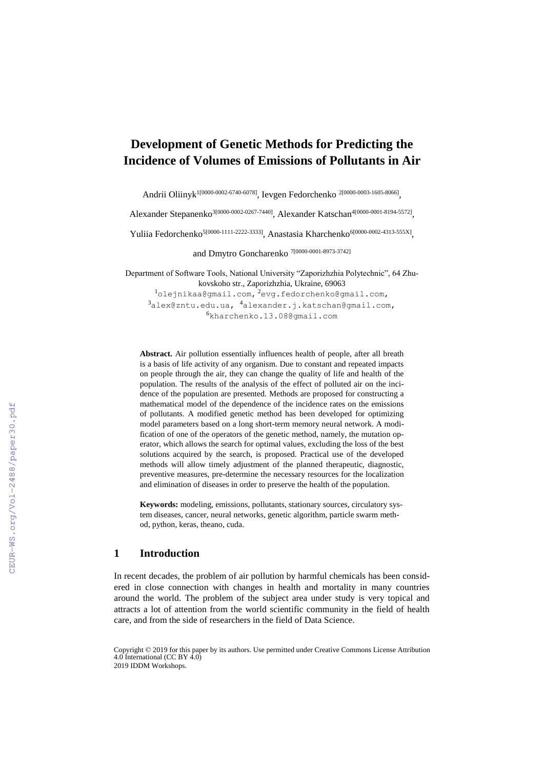# **Development of Genetic Methods for Predicting the Incidence of Volumes of Emissions of Pollutants in Air**

Andrii Oliinyk<sup>1[0000-0002-6740-6078]</sup>, Ievgen Fedorchenko <sup>2[0000-0003-1605-8066]</sup>,

Alexander Stepanenko<sup>3[0000-0002-0267-7440]</sup>, Alexander Katschan<sup>4[0000-0001-8194-5572]</sup>,

Yuliia Fedorchenko<sup>5[0000-1111-2222-3333]</sup>, Anastasia Kharchenko<sup>6[0000-0002-4313-555X]</sup>,

and Dmytro Goncharenko 7[0000-0001-8973-3742]

Department of Software Tools, National University "Zaporizhzhia Polytechnic", 64 Zhukovskoho str., Zaporizhzhia, Ukraine, 69063 <sup>1</sup>olejnikaa@gmail.com, <sup>2</sup>evg.fedorchenko@gmail.com,  $3a$ lex@zntu.edu.ua,  $4a$ lexander.j.katschan@gmail.com, <sup>6</sup>kharchenko.13.08@gmail.com

**Abstract.** Air pollution essentially influences health of people, after all breath is a basis of life activity of any organism. Due to constant and repeated impacts on people through the air, they can change the quality of life and health of the population. The results of the analysis of the effect of polluted air on the incidence of the population are presented. Methods are proposed for constructing a mathematical model of the dependence of the incidence rates on the emissions of pollutants. A modified genetic method has been developed for optimizing model parameters based on a long short-term memory neural network. A modification of one of the operators of the genetic method, namely, the mutation operator, which allows the search for optimal values, excluding the loss of the best solutions acquired by the search, is proposed. Practical use of the developed methods will allow timely adjustment of the planned therapeutic, diagnostic, preventive measures, pre-determine the necessary resources for the localization and elimination of diseases in order to preserve the health of the population.

**Keywords:** modeling, emissions, pollutants, stationary sources, circulatory system diseases, cancer, neural networks, genetic algorithm, particle swarm method, python, keras, theano, cuda.

### **1 Introduction**

In recent decades, the problem of air pollution by harmful chemicals has been considered in close connection with changes in health and mortality in many countries around the world. The problem of the subject area under study is very topical and attracts a lot of attention from the world scientific community in the field of health care, and from the side of researchers in the field of Data Science.

Copyright © 2019 for this paper by its authors. Use permitted under Creative Commons License Attribution 4.0 International (CC BY 4.0) 2019 IDDM Workshops.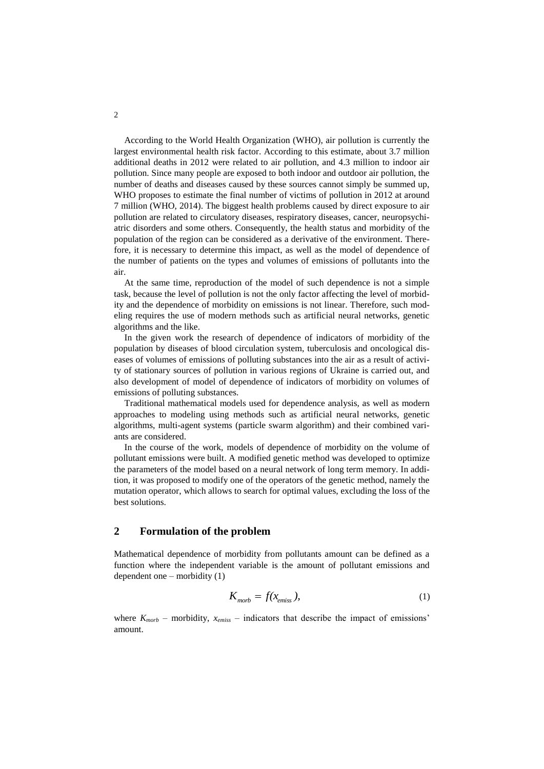According to the World Health Organization (WHO), air pollution is currently the largest environmental health risk factor. According to this estimate, about 3.7 million additional deaths in 2012 were related to air pollution, and 4.3 million to indoor air pollution. Since many people are exposed to both indoor and outdoor air pollution, the number of deaths and diseases caused by these sources cannot simply be summed up, WHO proposes to estimate the final number of victims of pollution in 2012 at around 7 million (WHO, 2014). The biggest health problems caused by direct exposure to air pollution are related to circulatory diseases, respiratory diseases, cancer, neuropsychiatric disorders and some others. Consequently, the health status and morbidity of the population of the region can be considered as a derivative of the environment. Therefore, it is necessary to determine this impact, as well as the model of dependence of the number of patients on the types and volumes of emissions of pollutants into the air.

At the same time, reproduction of the model of such dependence is not a simple task, because the level of pollution is not the only factor affecting the level of morbidity and the dependence of morbidity on emissions is not linear. Therefore, such modeling requires the use of modern methods such as artificial neural networks, genetic algorithms and the like.

In the given work the research of dependence of indicators of morbidity of the population by diseases of blood circulation system, tuberculosis and oncological diseases of volumes of emissions of polluting substances into the air as a result of activity of stationary sources of pollution in various regions of Ukraine is carried out, and also development of model of dependence of indicators of morbidity on volumes of emissions of polluting substances.

Traditional mathematical models used for dependence analysis, as well as modern approaches to modeling using methods such as artificial neural networks, genetic algorithms, multi-agent systems (particle swarm algorithm) and their combined variants are considered.

In the course of the work, models of dependence of morbidity on the volume of pollutant emissions were built. A modified genetic method was developed to optimize the parameters of the model based on a neural network of long term memory. In addition, it was proposed to modify one of the operators of the genetic method, namely the mutation operator, which allows to search for optimal values, excluding the loss of the best solutions.

#### **2 Formulation of the problem**

Mathematical dependence of morbidity from pollutants amount can be defined as a function where the independent variable is the amount of pollutant emissions and dependent one – morbidity (1)

$$
K_{\text{morb}} = f(x_{\text{emiss}}),\tag{1}
$$

where  $K_{morb}$  – morbidity,  $x_{emiss}$  – indicators that describe the impact of emissions' amount.

2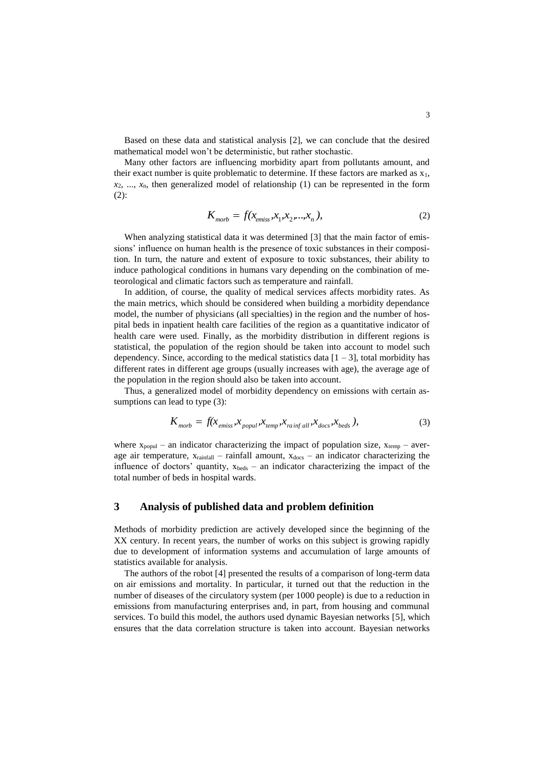Based on these data and statistical analysis [2], we can conclude that the desired mathematical model won't be deterministic, but rather stochastic.

Many other factors are influencing morbidity apart from pollutants amount, and their exact number is quite problematic to determine. If these factors are marked as  $x_1$ , *x*2, ..., *x*n, then generalized model of relationship (1) can be represented in the form  $(2)$ :

$$
K_{\text{morb}} = f(x_{\text{emiss}}, x_1, x_2, \dots, x_n),
$$
 (2)

When analyzing statistical data it was determined [3] that the main factor of emissions' influence on human health is the presence of toxic substances in their composition. In turn, the nature and extent of exposure to toxic substances, their ability to induce pathological conditions in humans vary depending on the combination of meteorological and climatic factors such as temperature and rainfall.

In addition, of course, the quality of medical services affects morbidity rates. As the main metrics, which should be considered when building a morbidity dependance model, the number of physicians (all specialties) in the region and the number of hospital beds in inpatient health care facilities of the region as a quantitative indicator of health care were used. Finally, as the morbidity distribution in different regions is statistical, the population of the region should be taken into account to model such dependency. Since, according to the medical statistics data  $[1 – 3]$ , total morbidity has different rates in different age groups (usually increases with age), the average age of the population in the region should also be taken into account.

Thus, a generalized model of morbidity dependency on emissions with certain assumptions can lead to type (3):

$$
K_{\text{morb}} = f(x_{\text{emiss}}, x_{\text{popul}}, x_{\text{temp}}, x_{\text{rainf all}}, x_{\text{docs}}, x_{\text{beds}}),
$$
\n(3)

where  $x_{\text{popul}}$  – an indicator characterizing the impact of population size,  $x_{\text{temp}}$  – average air temperature,  $x_{rainfall}$  – rainfall amount,  $x_{docs}$  – an indicator characterizing the influence of doctors' quantity,  $x_{\text{beds}}$  – an indicator characterizing the impact of the total number of beds in hospital wards.

### **3 Analysis of published data and problem definition**

Methods of morbidity prediction are actively developed since the beginning of the XX century. In recent years, the number of works on this subject is growing rapidly due to development of information systems and accumulation of large amounts of statistics available for analysis.

The authors of the robot [4] presented the results of a comparison of long-term data on air emissions and mortality. In particular, it turned out that the reduction in the number of diseases of the circulatory system (per 1000 people) is due to a reduction in emissions from manufacturing enterprises and, in part, from housing and communal services. To build this model, the authors used dynamic Bayesian networks [5], which ensures that the data correlation structure is taken into account. Bayesian networks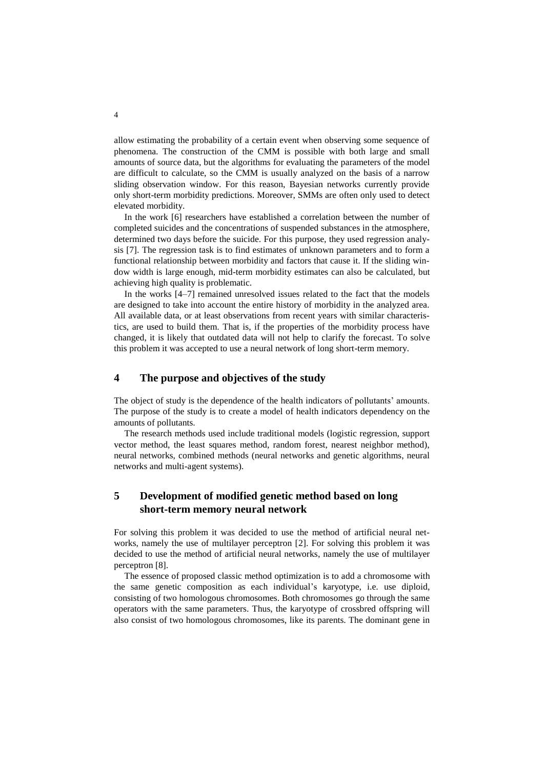allow estimating the probability of a certain event when observing some sequence of phenomena. The construction of the CMM is possible with both large and small amounts of source data, but the algorithms for evaluating the parameters of the model are difficult to calculate, so the CMM is usually analyzed on the basis of a narrow sliding observation window. For this reason, Bayesian networks currently provide only short-term morbidity predictions. Moreover, SMMs are often only used to detect elevated morbidity.

In the work [6] researchers have established a correlation between the number of completed suicides and the concentrations of suspended substances in the atmosphere, determined two days before the suicide. For this purpose, they used regression analysis [7]. The regression task is to find estimates of unknown parameters and to form a functional relationship between morbidity and factors that cause it. If the sliding window width is large enough, mid-term morbidity estimates can also be calculated, but achieving high quality is problematic.

In the works [4–7] remained unresolved issues related to the fact that the models are designed to take into account the entire history of morbidity in the analyzed area. All available data, or at least observations from recent years with similar characteristics, are used to build them. That is, if the properties of the morbidity process have changed, it is likely that outdated data will not help to clarify the forecast. To solve this problem it was accepted to use a neural network of long short-term memory.

### **4 The purpose and objectives of the study**

The object of study is the dependence of the health indicators of pollutants' amounts. The purpose of the study is to create a model of health indicators dependency on the amounts of pollutants.

The research methods used include traditional models (logistic regression, support vector method, the least squares method, random forest, nearest neighbor method), neural networks, combined methods (neural networks and genetic algorithms, neural networks and multi-agent systems).

### **5 Development of modified genetic method based on long short-term memory neural network**

For solving this problem it was decided to use the method of artificial neural networks, namely the use of multilayer perceptron [2]. For solving this problem it was decided to use the method of artificial neural networks, namely the use of multilayer perceptron [8].

The essence of proposed classic method optimization is to add a chromosome with the same genetic composition as each individual's karyotype, i.e. use diploid, consisting of two homologous chromosomes. Both chromosomes go through the same operators with the same parameters. Thus, the karyotype of crossbred offspring will also consist of two homologous chromosomes, like its parents. The dominant gene in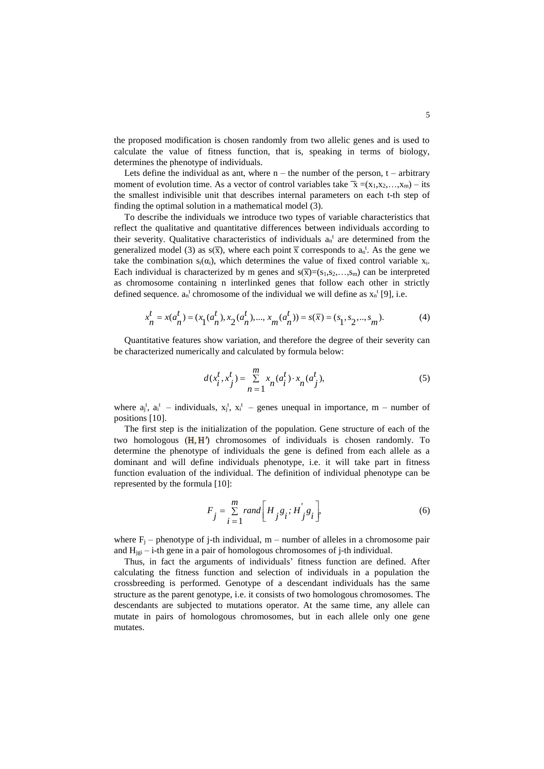the proposed modification is chosen randomly from two allelic genes and is used to calculate the value of fitness function, that is, speaking in terms of biology, determines the phenotype of individuals.

Lets define the individual as ant, where  $n -$  the number of the person,  $t -$  arbitrary moment of evolution time. As a vector of control variables take  $\bar{x} = (x_1, x_2, \ldots, x_m) -$  its the smallest indivisible unit that describes internal parameters on each t-th step of finding the optimal solution in a mathematical model (3).

To describe the individuals we introduce two types of variable characteristics that reflect the qualitative and quantitative differences between individuals according to their severity. Qualitative characteristics of individuals  $a_n^t$  are determined from the generalized model (3) as  $s(\bar{x})$ , where each point  $\bar{x}$  corresponds to  $a_n^t$ . As the gene we take the combination  $s_i(\alpha_i)$ , which determines the value of fixed control variable  $x_i$ . Each individual is characterized by m genes and  $s(\overline{x})=(s_1,s_2,...,s_m)$  can be interpreted as chromosome containing n interlinked genes that follow each other in strictly defined sequence.  $a_n^t$  chromosome of the individual we will define as  $x_n^t$  [9], i.e.

$$
x_n^t = x(a_n^t) = (x_1(a_n^t), x_2(a_n^t), ..., x_m(a_n^t)) = s(\overline{x}) = (s_1, s_2, ..., s_m).
$$
 (4)

Quantitative features show variation, and therefore the degree of their severity can be characterized numerically and calculated by formula below:

$$
d(x_i^t, x_j^t) = \sum_{n=1}^{m} x_n (a_i^t) \cdot x_n (a_j^t),
$$
\n(5)

where  $a_j^t$ ,  $a_i^t$  – individuals,  $x_j^t$ ,  $x_i^t$  – genes unequal in importance, m – number of positions [10].

The first step is the initialization of the population. Gene structure of each of the two homologous  $(H, H')$  chromosomes of individuals is chosen randomly. To determine the phenotype of individuals the gene is defined from each allele as a dominant and will define individuals phenotype, i.e. it will take part in fitness function evaluation of the individual. The definition of individual phenotype can be represented by the formula [10]:

$$
F_j = \sum_{i=1}^{m} rand \bigg[ H_j g_i; H_j' g_i \bigg],
$$
\n(6)

where  $F_i$  – phenotype of j-th individual,  $m$  – number of alleles in a chromosome pair and  $H_{ij}$  – i-th gene in a pair of homologous chromosomes of j-th individual.

Thus, in fact the arguments of individuals' fitness function are defined. After calculating the fitness function and selection of individuals in a population the crossbreeding is performed. Genotype of a descendant individuals has the same structure as the parent genotype, i.e. it consists of two homologous chromosomes. The descendants are subjected to mutations operator. At the same time, any allele can mutate in pairs of homologous chromosomes, but in each allele only one gene mutates.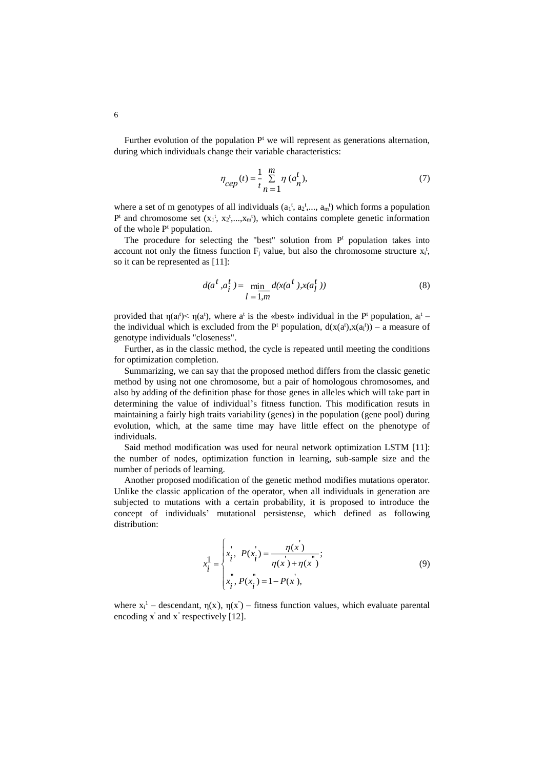Further evolution of the population  $P<sup>t</sup>$  we will represent as generations alternation, during which individuals change their variable characteristics:

$$
\eta_{cep}(t) = \frac{1}{t} \sum_{n=1}^{m} \eta (a_n^t),
$$
\n(7)

where a set of m genotypes of all individuals  $(a_1^t, a_2^t, \ldots, a_m^t)$  which forms a population  $P^t$  and chromosome set  $(x_1^t, x_2^t, ..., x_m^t)$ , which contains complete genetic information of the whole  $P<sup>t</sup>$  population.

The procedure for selecting the "best" solution from  $P<sup>t</sup>$  population takes into account not only the fitness function  $F_j$  value, but also the chromosome structure  $x_i^t$ , so it can be represented as [11]:

$$
d(a^t, a^t_i) = \min_{l=1,m} d(x(a^t), x(a^t_l))
$$
\n(8)

provided that  $\eta(a_i^t) < \eta(a^t)$ , where a<sup>t</sup> is the «best» individual in the P<sup>t</sup> population,  $a_i^t$  – the individual which is excluded from the  $P^t$  population,  $d(x(a^t),x(a^t)) - a$  measure of genotype individuals "closeness".

Further, as in the classic method, the cycle is repeated until meeting the conditions for optimization completion.

Summarizing, we can say that the proposed method differs from the classic genetic method by using not one chromosome, but a pair of homologous chromosomes, and also by adding of the definition phase for those genes in alleles which will take part in determining the value of individual's fitness function. This modification resuts in maintaining a fairly high traits variability (genes) in the population (gene pool) during evolution, which, at the same time may have little effect on the phenotype of individuals.

Said method modification was used for neural network optimization LSTM [11]: the number of nodes, optimization function in learning, sub-sample size and the number of periods of learning.

Another proposed modification of the genetic method modifies mutations operator. Unlike the classic application of the operator, when all individuals in generation are subjected to mutations with a certain probability, it is proposed to introduce the concept of individuals' mutational persistense, which defined as following distribution:

$$
x_i^1 = \begin{cases} x_i, & P(x_i) = \frac{\eta(x)}{\eta(x) + \eta(x)}, \\ x_i, & P(x_i) = 1 - P(x), \end{cases}
$$
(9)

where  $x_i^1$  – descendant,  $\eta(x')$ ,  $\eta(x'')$  – fitness function values, which evaluate parental encoding  $x'$  and  $x''$  respectively [12].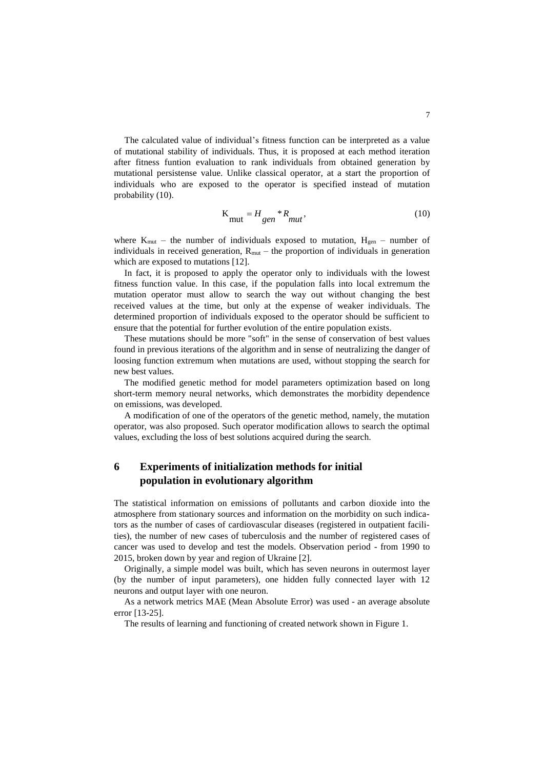The calculated value of individual's fitness function can be interpreted as a value of mutational stability of individuals. Thus, it is proposed at each method iteration after fitness funtion evaluation to rank individuals from obtained generation by mutational persistense value. Unlike classical operator, at a start the proportion of individuals who are exposed to the operator is specified instead of mutation probability (10).

$$
K_{\text{mut}} = H_{gen} * R_{mut},\tag{10}
$$

where  $K_{mut}$  – the number of individuals exposed to mutation,  $H_{gen}$  – number of individuals in received generation,  $R_{mut}$  – the proportion of individuals in generation which are exposed to mutations [12].

In fact, it is proposed to apply the operator only to individuals with the lowest fitness function value. In this case, if the population falls into local extremum the mutation operator must allow to search the way out without changing the best received values at the time, but only at the expense of weaker individuals. The determined proportion of individuals exposed to the operator should be sufficient to ensure that the potential for further evolution of the entire population exists.

These mutations should be more "soft" in the sense of conservation of best values found in previous iterations of the algorithm and in sense of neutralizing the danger of loosing function extremum when mutations are used, without stopping the search for new best values.

The modified genetic method for model parameters optimization based on long short-term memory neural networks, which demonstrates the morbidity dependence on emissions, was developed.

A modification of one of the operators of the genetic method, namely, the mutation operator, was also proposed. Such operator modification allows to search the optimal values, excluding the loss of best solutions acquired during the search.

## **6 Experiments of initialization methods for initial population in evolutionary algorithm**

The statistical information on emissions of pollutants and carbon dioxide into the atmosphere from stationary sources and information on the morbidity on such indicators as the number of cases of cardiovascular diseases (registered in outpatient facilities), the number of new cases of tuberculosis and the number of registered cases of cancer was used to develop and test the models. Observation period - from 1990 to 2015, broken down by year and region of Ukraine [2].

Originally, a simple model was built, which has seven neurons in outermost layer (by the number of input parameters), one hidden fully connected layer with 12 neurons and output layer with one neuron.

As a network metrics MAE (Mean Absolute Error) was used - an average absolute error [13-25].

The results of learning and functioning of created network shown in Figure 1.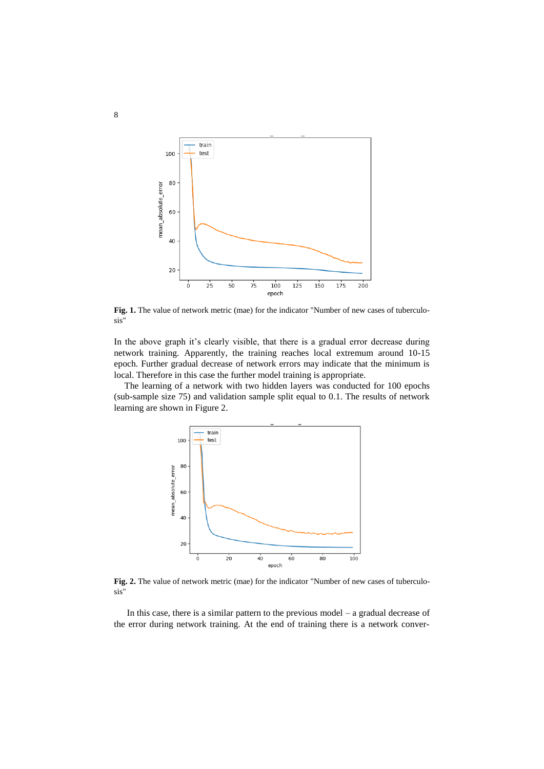

Fig. 1. The value of network metric (mae) for the indicator "Number of new cases of tuberculosis"

In the above graph it's clearly visible, that there is a gradual error decrease during network training. Apparently, the training reaches local extremum around 10-15 epoch. Further gradual decrease of network errors may indicate that the minimum is local. Therefore in this case the further model training is appropriate.

The learning of a network with two hidden layers was conducted for 100 epochs (sub-sample size 75) and validation sample split equal to 0.1. The results of network learning are shown in Figure 2.



**Fig. 2.** The value of network metric (mae) for the indicator "Number of new cases of tuberculosis"

In this case, there is a similar pattern to the previous model – a gradual decrease of the error during network training. At the end of training there is a network conver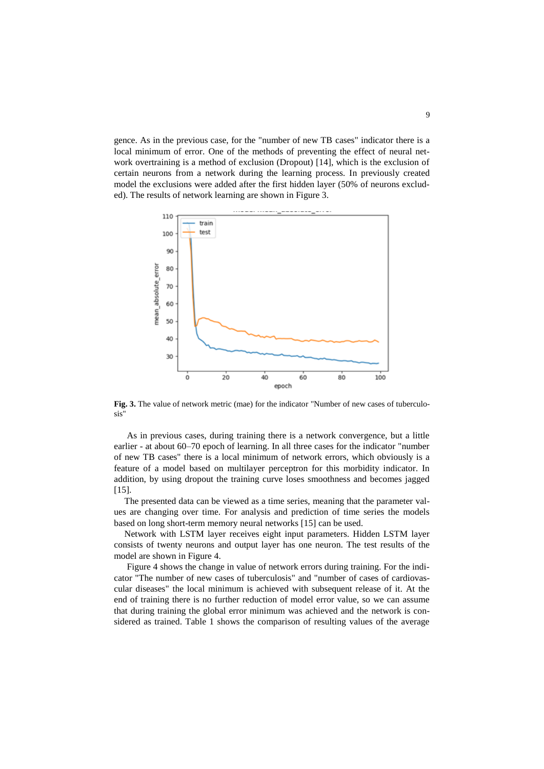gence. As in the previous case, for the "number of new TB cases" indicator there is a local minimum of error. One of the methods of preventing the effect of neural network overtraining is a method of exclusion (Dropout) [14], which is the exclusion of certain neurons from a network during the learning process. In previously created model the exclusions were added after the first hidden layer (50% of neurons excluded). The results of network learning are shown in Figure 3.



**Fig. 3.** The value of network metric (mae) for the indicator "Number of new cases of tuberculosis"

As in previous cases, during training there is a network convergence, but a little earlier - at about 60–70 epoch of learning. In all three cases for the indicator "number of new TB cases" there is a local minimum of network errors, which obviously is a feature of a model based on multilayer perceptron for this morbidity indicator. In addition, by using dropout the training curve loses smoothness and becomes jagged [15].

The presented data can be viewed as a time series, meaning that the parameter values are changing over time. For analysis and prediction of time series the models based on long short-term memory neural networks [15] can be used.

Network with LSTM layer receives eight input parameters. Hidden LSTM layer consists of twenty neurons and output layer has one neuron. The test results of the model are shown in Figure 4.

Figure 4 shows the change in value of network errors during training. For the indicator "The number of new cases of tuberculosis" and "number of cases of cardiovascular diseases" the local minimum is achieved with subsequent release of it. At the end of training there is no further reduction of model error value, so we can assume that during training the global error minimum was achieved and the network is considered as trained. Table 1 shows the comparison of resulting values of the average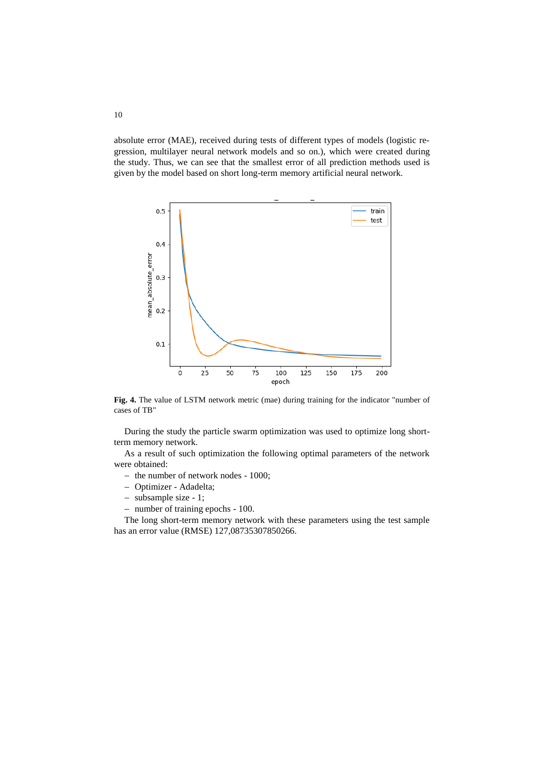absolute error (MAE), received during tests of different types of models (logistic regression, multilayer neural network models and so on.), which were created during the study. Thus, we can see that the smallest error of all prediction methods used is given by the model based on short long-term memory artificial neural network.



**Fig. 4.** The value of LSTM network metric (mae) during training for the indicator "number of cases of TB"

During the study the particle swarm optimization was used to optimize long shortterm memory network.

As a result of such optimization the following optimal parameters of the network were obtained:

- the number of network nodes 1000;
- Optimizer Adadelta;
- subsample size 1;
- number of training epochs 100.

The long short-term memory network with these parameters using the test sample has an error value (RMSE) 127,08735307850266.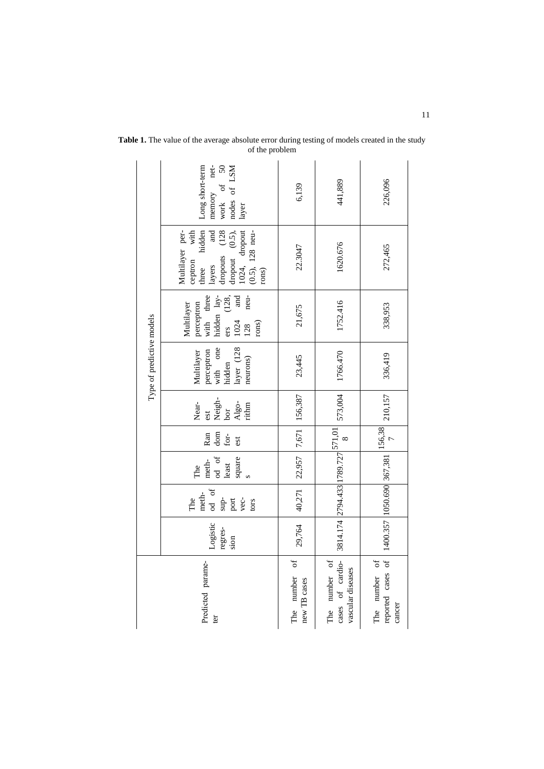| Type of predictive models | net-<br>Long short-term<br>$50\,$<br>nodes of LSM<br>$\begin{tabular}{ll} memory \\ work \\ of \end{tabular}$<br>layer                                                                                                         | 6,139                              | 441,889                                                                                                                                                                       | 226,096                                                                                                                               |
|---------------------------|--------------------------------------------------------------------------------------------------------------------------------------------------------------------------------------------------------------------------------|------------------------------------|-------------------------------------------------------------------------------------------------------------------------------------------------------------------------------|---------------------------------------------------------------------------------------------------------------------------------------|
|                           | $\begin{tabular}{ll} layers & and \\ \text{dropouts} & (128 \\ \text{dropout} & (0.5), \\ \text{1024}, & \text{dropout} \end{tabular}$<br>hidden<br>Multilayer per-<br>$(0.5)$ , 128 neu-<br>with<br>ceptron<br>three<br>rons) | 22.3047                            | 1620.676                                                                                                                                                                      | 272,465                                                                                                                               |
|                           | hidden lay-<br>neu-<br>and<br>perceptron<br>with three<br>(128,<br>Multilayer<br>ers<br>1024<br>rons)<br>128                                                                                                                   | 21,675                             | 1752.416                                                                                                                                                                      | 338,953                                                                                                                               |
|                           | with one<br>layer (128<br>Multilayer<br>perceptron<br>neurons)<br>hidden                                                                                                                                                       | 23,445                             | 1766.470                                                                                                                                                                      | 336,419                                                                                                                               |
|                           | Neigh-<br>bor<br>Near-<br>$\frac{\text{Algo}}{\text{ritim}}$<br>est                                                                                                                                                            | 29,764 40,271 22,957 7,671 156,387 |                                                                                                                                                                               |                                                                                                                                       |
|                           | dom<br>for-<br>Ran<br>est                                                                                                                                                                                                      |                                    |                                                                                                                                                                               |                                                                                                                                       |
|                           | $\begin{array}{c c}\n\text{meth-} & \text{of} \\ \hline\n\text{od} & \text{of} \\ \text{least}\n\end{array}$<br>square<br>The                                                                                                  |                                    |                                                                                                                                                                               |                                                                                                                                       |
|                           | od of<br>meth-<br>$_{\rm sup}$<br>port<br>vec-<br>The<br>tors                                                                                                                                                                  |                                    |                                                                                                                                                                               |                                                                                                                                       |
|                           | Logistic<br>regres-<br>sion                                                                                                                                                                                                    |                                    | $\begin{array}{ c c c c c } \hline & \text{3814.174}\text{ } & \text{2794.433}\text{ } & \text{1789.727}\text{ } & \text{571.01}\text{ } & \text{573.004} \hline \end{array}$ |                                                                                                                                       |
| Predicted parame-<br>ter  |                                                                                                                                                                                                                                | The number of<br>new TB cases      | cases of cardio-<br>The number of<br>vascular diseases                                                                                                                        | A 210,157 Proported cases of 1400.357 1050.690 367,381 $\begin{bmatrix} 156,38 \\ 7 \end{bmatrix}$ 210,157<br>The number of<br>cancer |

**Table 1.** The value of the average absolute error during testing of models created in the study of the problem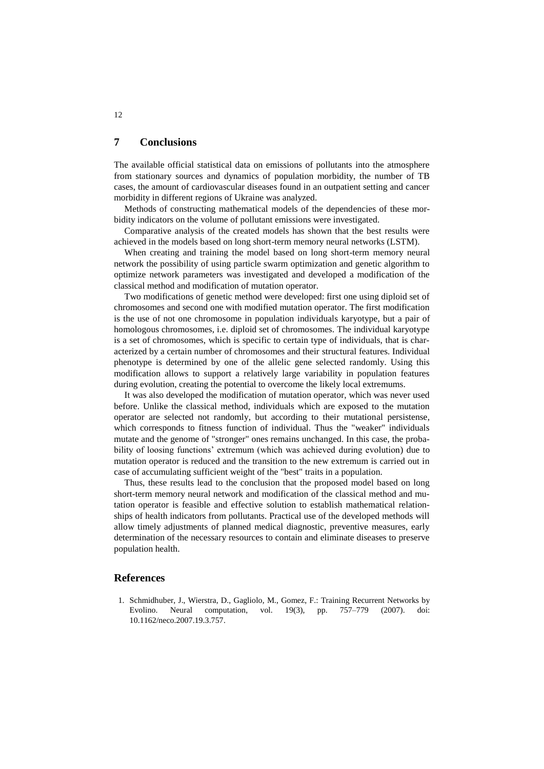### **7 Conclusions**

The available official statistical data on emissions of pollutants into the atmosphere from stationary sources and dynamics of population morbidity, the number of TB cases, the amount of cardiovascular diseases found in an outpatient setting and cancer morbidity in different regions of Ukraine was analyzed.

Methods of constructing mathematical models of the dependencies of these morbidity indicators on the volume of pollutant emissions were investigated.

Comparative analysis of the created models has shown that the best results were achieved in the models based on long short-term memory neural networks (LSTM).

When creating and training the model based on long short-term memory neural network the possibility of using particle swarm optimization and genetic algorithm to optimize network parameters was investigated and developed a modification of the classical method and modification of mutation operator.

Two modifications of genetic method were developed: first one using diploid set of chromosomes and second one with modified mutation operator. The first modification is the use of not one chromosome in population individuals karyotype, but a pair of homologous chromosomes, i.e. diploid set of chromosomes. The individual karyotype is a set of chromosomes, which is specific to certain type of individuals, that is characterized by a certain number of chromosomes and their structural features. Individual phenotype is determined by one of the allelic gene selected randomly. Using this modification allows to support a relatively large variability in population features during evolution, creating the potential to overcome the likely local extremums.

It was also developed the modification of mutation operator, which was never used before. Unlike the classical method, individuals which are exposed to the mutation operator are selected not randomly, but according to their mutational persistense, which corresponds to fitness function of individual. Thus the "weaker" individuals mutate and the genome of "stronger" ones remains unchanged. In this case, the probability of loosing functions' extremum (which was achieved during evolution) due to mutation operator is reduced and the transition to the new extremum is carried out in case of accumulating sufficient weight of the "best" traits in a population.

Thus, these results lead to the conclusion that the proposed model based on long short-term memory neural network and modification of the classical method and mutation operator is feasible and effective solution to establish mathematical relationships of health indicators from pollutants. Practical use of the developed methods will allow timely adjustments of planned medical diagnostic, preventive measures, early determination of the necessary resources to contain and eliminate diseases to preserve population health.

### **References**

1. Schmidhuber, J., Wierstra, D., Gagliolo, M., Gomez, F.: Training Recurrent Networks by Evolino. Neural computation, vol. 19(3), pp. 757–779 (2007). doi: 10.1162/neco.2007.19.3.757.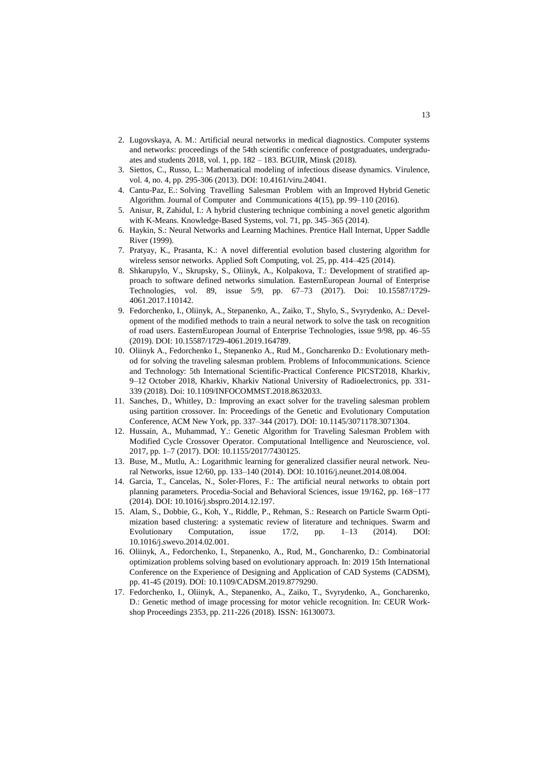- 2. Lugovskaya, A. M.: Artificial neural networks in medical diagnostics. Computer systems and networks: proceedings of the 54th scientific conference of postgraduates, undergraduates and students 2018, vol. 1, pp. 182 – 183. BGUIR, Minsk (2018).
- 3. Siettos, C., Russo, L.: Mathematical modeling of infectious disease dynamics. Virulence, vol. 4, no. 4, pp. 295-306 (2013). DOI: 10.4161/viru.24041.
- 4. Cantu-Paz, E.: Solving Travelling Salesman Problem with an Improved Hybrid Genetic Algorithm. Journal of Computer and Communications 4(15), pp. 99–110 (2016).
- 5. Anisur, R, Zahidul, I.: A hybrid clustering technique combining a novel genetic algorithm with K-Means. Knowledge-Based Systems, vol. 71, pp. 345–365 (2014).
- 6. Haykin, S.: Neural Networks and Learning Machines. Prentice Hall Internat, Upper Saddle River (1999).
- 7. Pratyay, K., Prasanta, K.: A novel differential evolution based clustering algorithm for wireless sensor networks. Applied Soft Computing, vol. 25, pp. 414–425 (2014).
- 8. Shkarupylo, V., Skrupsky, S., Oliinyk, A., Kolpakova, T.: Development of stratified approach to software defined networks simulation. EasternEuropean Journal of Enterprise Technologies, vol. 89, issue 5/9, pp. 67–73 (2017). Doi: 10.15587/1729- 4061.2017.110142.
- 9. Fedorchenko, I., Oliinyk, A., Stepanenko, A., Zaiko, T., Shylo, S., Svyrydenko, A.: Development of the modified methods to train a neural network to solve the task on recognition of road users. EasternEuropean Journal of Enterprise Technologies, issue 9/98, pp. 46–55 (2019). DOI: 10.15587/1729-4061.2019.164789.
- 10. Oliinyk A., Fedorchenko I., Stepanenko A., Rud M., Goncharenko D.: Evolutionary method for solving the traveling salesman problem. Problems of Infocommunications. Science and Technology: 5th International Scientific-Practical Conference PICST2018, Kharkiv, 9–12 October 2018, Kharkiv, Kharkiv National University of Radioelectronics, pp. 331- 339 (2018). Doi: 10.1109/INFOCOMMST.2018.8632033.
- 11. Sanches, D., Whitley, D.: Improving an exact solver for the traveling salesman problem using partition crossover. In: Proceedings of the Genetic and Evolutionary Computation Conference, ACM New York, pp. 337–344 (2017). DOI: 10.1145/3071178.3071304.
- 12. Hussain, A., Muhammad, Y.: Genetic Algorithm for Traveling Salesman Problem with Modified Cycle Crossover Operator. Computational Intelligence and Neuroscience, vol. 2017, pp. 1–7 (2017). DOI: 10.1155/2017/7430125.
- 13. Buse, M., Mutlu, A.: Logarithmic learning for generalized classifier neural network. Neural Networks, issue 12/60, pp. 133–140 (2014). DOI: 10.1016/j.neunet.2014.08.004.
- 14. Garcia, T., Cancelas, N., Soler-Flores, F.: The artificial neural networks to obtain port planning parameters. Procedia-Social and Behavioral Sciences, issue 19/162, pp. 168−177 (2014). DOI: 10.1016/j.sbspro.2014.12.197.
- 15. Alam, S., Dobbie, G., Koh, Y., Riddle, P., Rehman, S.: Research on Particle Swarm Optimization based clustering: a systematic review of literature and techniques. Swarm and Evolutionary Computation, issue 17/2, pp. 1–13 (2014). DOI: 10.1016/j.swevo.2014.02.001.
- 16. Oliinyk, A., Fedorchenko, I., Stepanenko, A., Rud, M., Goncharenko, D.: Combinatorial optimization problems solving based on evolutionary approach. In: 2019 15th International Conference on the Experience of Designing and Application of CAD Systems (CADSM), pp. 41-45 (2019). DOI: 10.1109/CADSM.2019.8779290.
- 17. Fedorchenko, I., Oliinyk, A., Stepanenko, A., Zaiko, T., Svyrydenko, A., Goncharenko, D.: Genetic method of image processing for motor vehicle recognition. In: CEUR Workshop Proceedings 2353, pp. 211-226 (2018). ISSN: 16130073.